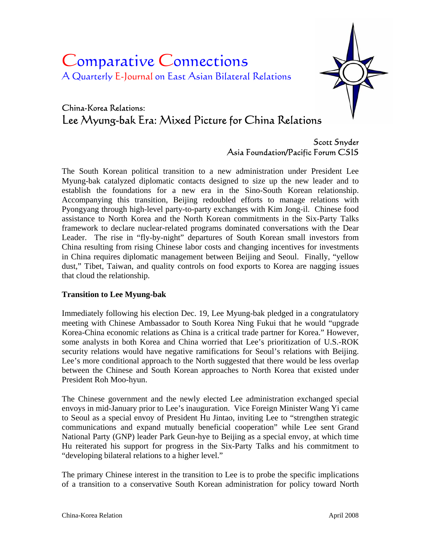# Comparative Connections A Quarterly E-Journal on East Asian Bilateral Relations



# China-Korea Relations: Lee Myung-bak Era: Mixed Picture for China Relations

# Scott Snyder Asia Foundation/Pacific Forum CSIS

The South Korean political transition to a new administration under President Lee Myung-bak catalyzed diplomatic contacts designed to size up the new leader and to establish the foundations for a new era in the Sino-South Korean relationship. Accompanying this transition, Beijing redoubled efforts to manage relations with Pyongyang through high-level party-to-party exchanges with Kim Jong-il. Chinese food assistance to North Korea and the North Korean commitments in the Six-Party Talks framework to declare nuclear-related programs dominated conversations with the Dear Leader. The rise in "fly-by-night" departures of South Korean small investors from China resulting from rising Chinese labor costs and changing incentives for investments in China requires diplomatic management between Beijing and Seoul. Finally, "yellow dust," Tibet, Taiwan, and quality controls on food exports to Korea are nagging issues that cloud the relationship.

## **Transition to Lee Myung-bak**

Immediately following his election Dec. 19, Lee Myung-bak pledged in a congratulatory meeting with Chinese Ambassador to South Korea Ning Fukui that he would "upgrade Korea-China economic relations as China is a critical trade partner for Korea." However, some analysts in both Korea and China worried that Lee's prioritization of U.S.-ROK security relations would have negative ramifications for Seoul's relations with Beijing. Lee's more conditional approach to the North suggested that there would be less overlap between the Chinese and South Korean approaches to North Korea that existed under President Roh Moo-hyun.

The Chinese government and the newly elected Lee administration exchanged special envoys in mid-January prior to Lee's inauguration. Vice Foreign Minister Wang Yi came to Seoul as a special envoy of President Hu Jintao, inviting Lee to "strengthen strategic communications and expand mutually beneficial cooperation" while Lee sent Grand National Party (GNP) leader Park Geun-hye to Beijing as a special envoy, at which time Hu reiterated his support for progress in the Six-Party Talks and his commitment to "developing bilateral relations to a higher level."

The primary Chinese interest in the transition to Lee is to probe the specific implications of a transition to a conservative South Korean administration for policy toward North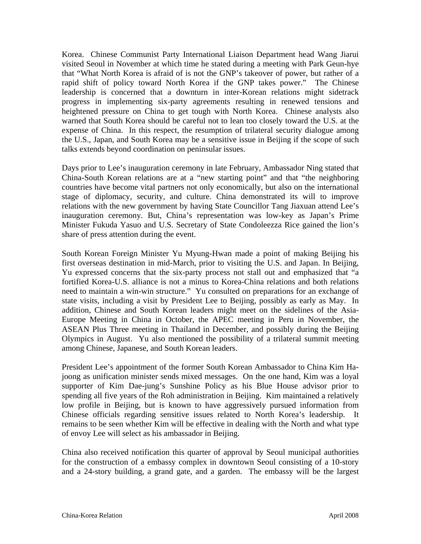Korea. Chinese Communist Party International Liaison Department head Wang Jiarui visited Seoul in November at which time he stated during a meeting with Park Geun-hye that "What North Korea is afraid of is not the GNP's takeover of power, but rather of a rapid shift of policy toward North Korea if the GNP takes power." The Chinese leadership is concerned that a downturn in inter-Korean relations might sidetrack progress in implementing six-party agreements resulting in renewed tensions and heightened pressure on China to get tough with North Korea. Chinese analysts also warned that South Korea should be careful not to lean too closely toward the U.S. at the expense of China. In this respect, the resumption of trilateral security dialogue among the U.S., Japan, and South Korea may be a sensitive issue in Beijing if the scope of such talks extends beyond coordination on peninsular issues.

Days prior to Lee's inauguration ceremony in late February, Ambassador Ning stated that China-South Korean relations are at a "new starting point" and that "the neighboring countries have become vital partners not only economically, but also on the international stage of diplomacy, security, and culture. China demonstrated its will to improve relations with the new government by having State Councillor Tang Jiaxuan attend Lee's inauguration ceremony. But, China's representation was low-key as Japan's Prime Minister Fukuda Yasuo and U.S. Secretary of State Condoleezza Rice gained the lion's share of press attention during the event.

South Korean Foreign Minister Yu Myung-Hwan made a point of making Beijing his first overseas destination in mid-March, prior to visiting the U.S. and Japan. In Beijing, Yu expressed concerns that the six-party process not stall out and emphasized that "a fortified Korea-U.S. alliance is not a minus to Korea-China relations and both relations need to maintain a win-win structure." Yu consulted on preparations for an exchange of state visits, including a visit by President Lee to Beijing, possibly as early as May. In addition, Chinese and South Korean leaders might meet on the sidelines of the Asia-Europe Meeting in China in October, the APEC meeting in Peru in November, the ASEAN Plus Three meeting in Thailand in December, and possibly during the Beijing Olympics in August. Yu also mentioned the possibility of a trilateral summit meeting among Chinese, Japanese, and South Korean leaders.

President Lee's appointment of the former South Korean Ambassador to China Kim Hajoong as unification minister sends mixed messages. On the one hand, Kim was a loyal supporter of Kim Dae-jung's Sunshine Policy as his Blue House advisor prior to spending all five years of the Roh administration in Beijing. Kim maintained a relatively low profile in Beijing, but is known to have aggressively pursued information from Chinese officials regarding sensitive issues related to North Korea's leadership. remains to be seen whether Kim will be effective in dealing with the North and what type of envoy Lee will select as his ambassador in Beijing.

China also received notification this quarter of approval by Seoul municipal authorities for the construction of a embassy complex in downtown Seoul consisting of a 10-story and a 24-story building, a grand gate, and a garden. The embassy will be the largest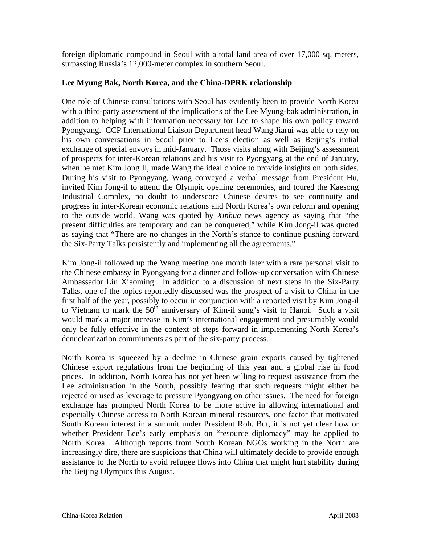foreign diplomatic compound in Seoul with a total land area of over 17,000 sq. meters, surpassing Russia's 12,000-meter complex in southern Seoul.

### **Lee Myung Bak, North Korea, and the China-DPRK relationship**

One role of Chinese consultations with Seoul has evidently been to provide North Korea with a third-party assessment of the implications of the Lee Myung-bak administration, in addition to helping with information necessary for Lee to shape his own policy toward Pyongyang. CCP International Liaison Department head Wang Jiarui was able to rely on his own conversations in Seoul prior to Lee's election as well as Beijing's initial exchange of special envoys in mid-January. Those visits along with Beijing's assessment of prospects for inter-Korean relations and his visit to Pyongyang at the end of January, when he met Kim Jong Il, made Wang the ideal choice to provide insights on both sides. During his visit to Pyongyang, Wang conveyed a verbal message from President Hu, invited Kim Jong-il to attend the Olympic opening ceremonies, and toured the Kaesong Industrial Complex, no doubt to underscore Chinese desires to see continuity and progress in inter-Korean economic relations and North Korea's own reform and opening to the outside world. Wang was quoted by *Xinhua* news agency as saying that "the present difficulties are temporary and can be conquered," while Kim Jong-il was quoted as saying that "There are no changes in the North's stance to continue pushing forward the Six-Party Talks persistently and implementing all the agreements."

Kim Jong-il followed up the Wang meeting one month later with a rare personal visit to the Chinese embassy in Pyongyang for a dinner and follow-up conversation with Chinese Ambassador Liu Xiaoming. In addition to a discussion of next steps in the Six-Party Talks, one of the topics reportedly discussed was the prospect of a visit to China in the first half of the year, possibly to occur in conjunction with a reported visit by Kim Jong-il to Vietnam to mark the  $50<sup>th</sup>$  anniversary of Kim-il sung's visit to Hanoi. Such a visit would mark a major increase in Kim's international engagement and presumably would only be fully effective in the context of steps forward in implementing North Korea's denuclearization commitments as part of the six-party process.

North Korea is squeezed by a decline in Chinese grain exports caused by tightened Chinese export regulations from the beginning of this year and a global rise in food prices. In addition, North Korea has not yet been willing to request assistance from the Lee administration in the South, possibly fearing that such requests might either be rejected or used as leverage to pressure Pyongyang on other issues. The need for foreign exchange has prompted North Korea to be more active in allowing international and especially Chinese access to North Korean mineral resources, one factor that motivated South Korean interest in a summit under President Roh. But, it is not yet clear how or whether President Lee's early emphasis on "resource diplomacy" may be applied to North Korea. Although reports from South Korean NGOs working in the North are increasingly dire, there are suspicions that China will ultimately decide to provide enough assistance to the North to avoid refugee flows into China that might hurt stability during the Beijing Olympics this August.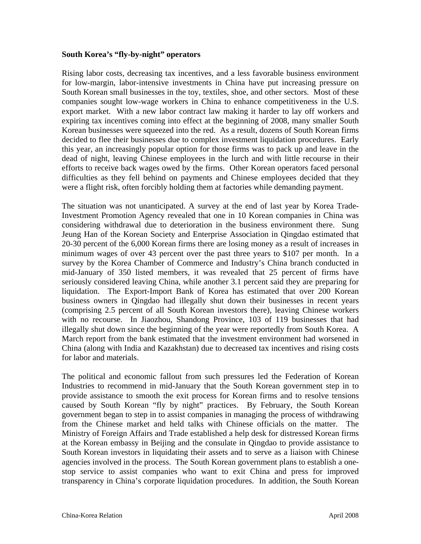#### **South Korea's "fly-by-night" operators**

Rising labor costs, decreasing tax incentives, and a less favorable business environment for low-margin, labor-intensive investments in China have put increasing pressure on South Korean small businesses in the toy, textiles, shoe, and other sectors. Most of these companies sought low-wage workers in China to enhance competitiveness in the U.S. export market. With a new labor contract law making it harder to lay off workers and expiring tax incentives coming into effect at the beginning of 2008, many smaller South Korean businesses were squeezed into the red. As a result, dozens of South Korean firms decided to flee their businesses due to complex investment liquidation procedures. Early this year, an increasingly popular option for those firms was to pack up and leave in the dead of night, leaving Chinese employees in the lurch and with little recourse in their efforts to receive back wages owed by the firms. Other Korean operators faced personal difficulties as they fell behind on payments and Chinese employees decided that they were a flight risk, often forcibly holding them at factories while demanding payment.

The situation was not unanticipated. A survey at the end of last year by Korea Trade-Investment Promotion Agency revealed that one in 10 Korean companies in China was considering withdrawal due to deterioration in the business environment there. Sung Jeung Han of the Korean Society and Enterprise Association in Qingdao estimated that 20-30 percent of the 6,000 Korean firms there are losing money as a result of increases in minimum wages of over 43 percent over the past three years to \$107 per month. In a survey by the Korea Chamber of Commerce and Industry's China branch conducted in mid-January of 350 listed members, it was revealed that 25 percent of firms have seriously considered leaving China, while another 3.1 percent said they are preparing for liquidation. The Export-Import Bank of Korea has estimated that over 200 Korean business owners in Qingdao had illegally shut down their businesses in recent years (comprising 2.5 percent of all South Korean investors there), leaving Chinese workers with no recourse. In Jiaozhou, Shandong Province, 103 of 119 businesses that had illegally shut down since the beginning of the year were reportedly from South Korea. A March report from the bank estimated that the investment environment had worsened in China (along with India and Kazakhstan) due to decreased tax incentives and rising costs for labor and materials.

The political and economic fallout from such pressures led the Federation of Korean Industries to recommend in mid-January that the South Korean government step in to provide assistance to smooth the exit process for Korean firms and to resolve tensions caused by South Korean "fly by night" practices. By February, the South Korean government began to step in to assist companies in managing the process of withdrawing from the Chinese market and held talks with Chinese officials on the matter. The Ministry of Foreign Affairs and Trade established a help desk for distressed Korean firms at the Korean embassy in Beijing and the consulate in Qingdao to provide assistance to South Korean investors in liquidating their assets and to serve as a liaison with Chinese agencies involved in the process. The South Korean government plans to establish a onestop service to assist companies who want to exit China and press for improved transparency in China's corporate liquidation procedures. In addition, the South Korean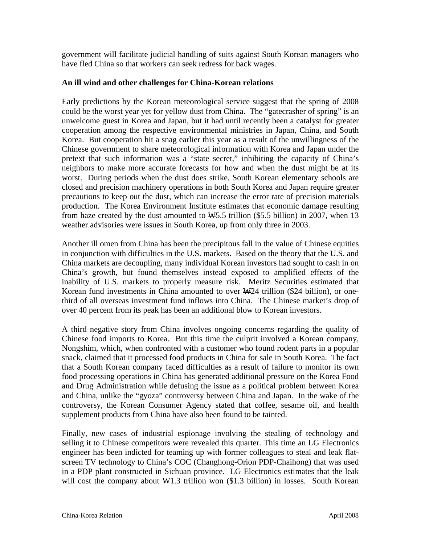government will facilitate judicial handling of suits against South Korean managers who have fled China so that workers can seek redress for back wages.

#### **An ill wind and other challenges for China-Korean relations**

Early predictions by the Korean meteorological service suggest that the spring of 2008 could be the worst year yet for yellow dust from China. The "gatecrasher of spring" is an unwelcome guest in Korea and Japan, but it had until recently been a catalyst for greater cooperation among the respective environmental ministries in Japan, China, and South Korea. But cooperation hit a snag earlier this year as a result of the unwillingness of the Chinese government to share meteorological information with Korea and Japan under the pretext that such information was a "state secret," inhibiting the capacity of China's neighbors to make more accurate forecasts for how and when the dust might be at its worst. During periods when the dust does strike, South Korean elementary schools are closed and precision machinery operations in both South Korea and Japan require greater precautions to keep out the dust, which can increase the error rate of precision materials production. The Korea Environment Institute estimates that economic damage resulting from haze created by the dust amounted to  $\frac{445.5 \text{ trillion}}{55.5 \text{ billion}}$  in 2007, when 13 weather advisories were issues in South Korea, up from only three in 2003.

Another ill omen from China has been the precipitous fall in the value of Chinese equities in conjunction with difficulties in the U.S. markets. Based on the theory that the U.S. and China markets are decoupling, many individual Korean investors had sought to cash in on China's growth, but found themselves instead exposed to amplified effects of the inability of U.S. markets to properly measure risk. Meritz Securities estimated that Korean fund investments in China amounted to over  $\frac{1424}{11}$  trillion (\$24 billion), or onethird of all overseas investment fund inflows into China. The Chinese market's drop of over 40 percent from its peak has been an additional blow to Korean investors.

A third negative story from China involves ongoing concerns regarding the quality of Chinese food imports to Korea. But this time the culprit involved a Korean company, Nongshim, which, when confronted with a customer who found rodent parts in a popular snack, claimed that it processed food products in China for sale in South Korea. The fact that a South Korean company faced difficulties as a result of failure to monitor its own food processing operations in China has generated additional pressure on the Korea Food and Drug Administration while defusing the issue as a political problem between Korea and China, unlike the "gyoza" controversy between China and Japan. In the wake of the controversy, the Korean Consumer Agency stated that coffee, sesame oil, and health supplement products from China have also been found to be tainted.

Finally, new cases of industrial espionage involving the stealing of technology and selling it to Chinese competitors were revealed this quarter. This time an LG Electronics engineer has been indicted for teaming up with former colleagues to steal and leak flatscreen TV technology to China's COC (Changhong-Orion PDP-Chaihong) that was used in a PDP plant constructed in Sichuan province. LG Electronics estimates that the leak will cost the company about  $\frac{11.3}{11.3}$  trillion won (\$1.3 billion) in losses. South Korean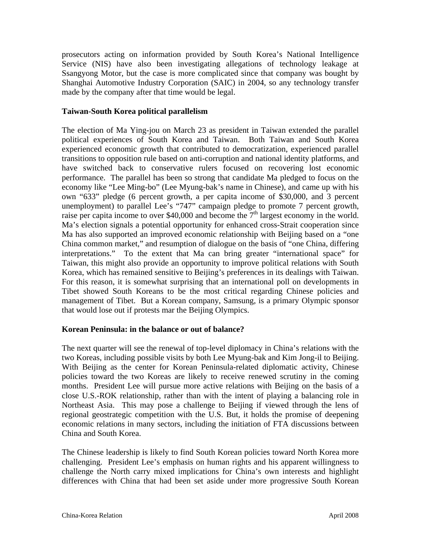prosecutors acting on information provided by South Korea's National Intelligence Service (NIS) have also been investigating allegations of technology leakage at Ssangyong Motor, but the case is more complicated since that company was bought by Shanghai Automotive Industry Corporation (SAIC) in 2004, so any technology transfer made by the company after that time would be legal.

#### **Taiwan-South Korea political parallelism**

The election of Ma Ying-jou on March 23 as president in Taiwan extended the parallel political experiences of South Korea and Taiwan. Both Taiwan and South Korea experienced economic growth that contributed to democratization, experienced parallel transitions to opposition rule based on anti-corruption and national identity platforms, and have switched back to conservative rulers focused on recovering lost economic performance. The parallel has been so strong that candidate Ma pledged to focus on the economy like "Lee Ming-bo" (Lee Myung-bak's name in Chinese), and came up with his own "633" pledge (6 percent growth, a per capita income of \$30,000, and 3 percent unemployment) to parallel Lee's "747" campaign pledge to promote 7 percent growth, raise per capita income to over \$40,000 and become the  $7<sup>th</sup>$  largest economy in the world. Ma's election signals a potential opportunity for enhanced cross-Strait cooperation since Ma has also supported an improved economic relationship with Beijing based on a "one China common market," and resumption of dialogue on the basis of "one China, differing interpretations." To the extent that Ma can bring greater "international space" for Taiwan, this might also provide an opportunity to improve political relations with South Korea, which has remained sensitive to Beijing's preferences in its dealings with Taiwan. For this reason, it is somewhat surprising that an international poll on developments in Tibet showed South Koreans to be the most critical regarding Chinese policies and management of Tibet. But a Korean company, Samsung, is a primary Olympic sponsor that would lose out if protests mar the Beijing Olympics.

#### **Korean Peninsula: in the balance or out of balance?**

The next quarter will see the renewal of top-level diplomacy in China's relations with the two Koreas, including possible visits by both Lee Myung-bak and Kim Jong-il to Beijing. With Beijing as the center for Korean Peninsula-related diplomatic activity, Chinese policies toward the two Koreas are likely to receive renewed scrutiny in the coming months. President Lee will pursue more active relations with Beijing on the basis of a close U.S.-ROK relationship, rather than with the intent of playing a balancing role in Northeast Asia. This may pose a challenge to Beijing if viewed through the lens of regional geostrategic competition with the U.S. But, it holds the promise of deepening economic relations in many sectors, including the initiation of FTA discussions between China and South Korea.

The Chinese leadership is likely to find South Korean policies toward North Korea more challenging. President Lee's emphasis on human rights and his apparent willingness to challenge the North carry mixed implications for China's own interests and highlight differences with China that had been set aside under more progressive South Korean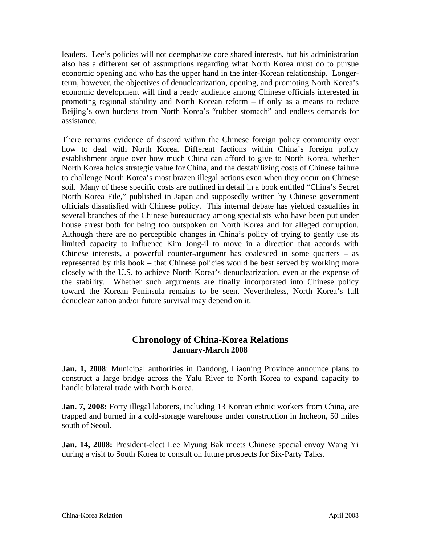leaders. Lee's policies will not deemphasize core shared interests, but his administration also has a different set of assumptions regarding what North Korea must do to pursue economic opening and who has the upper hand in the inter-Korean relationship. Longerterm, however, the objectives of denuclearization, opening, and promoting North Korea's economic development will find a ready audience among Chinese officials interested in promoting regional stability and North Korean reform – if only as a means to reduce Beijing's own burdens from North Korea's "rubber stomach" and endless demands for assistance.

There remains evidence of discord within the Chinese foreign policy community over how to deal with North Korea. Different factions within China's foreign policy establishment argue over how much China can afford to give to North Korea, whether North Korea holds strategic value for China, and the destabilizing costs of Chinese failure to challenge North Korea's most brazen illegal actions even when they occur on Chinese soil. Many of these specific costs are outlined in detail in a book entitled "China's Secret North Korea File," published in Japan and supposedly written by Chinese government officials dissatisfied with Chinese policy. This internal debate has yielded casualties in several branches of the Chinese bureaucracy among specialists who have been put under house arrest both for being too outspoken on North Korea and for alleged corruption. Although there are no perceptible changes in China's policy of trying to gently use its limited capacity to influence Kim Jong-il to move in a direction that accords with Chinese interests, a powerful counter-argument has coalesced in some quarters – as represented by this book – that Chinese policies would be best served by working more closely with the U.S. to achieve North Korea's denuclearization, even at the expense of the stability. Whether such arguments are finally incorporated into Chinese policy toward the Korean Peninsula remains to be seen. Nevertheless, North Korea's full denuclearization and/or future survival may depend on it.

# **Chronology of China-Korea Relations January-March 2008**

**Jan. 1, 2008**: Municipal authorities in Dandong, Liaoning Province announce plans to construct a large bridge across the Yalu River to North Korea to expand capacity to handle bilateral trade with North Korea.

**Jan. 7, 2008:** Forty illegal laborers, including 13 Korean ethnic workers from China, are trapped and burned in a cold-storage warehouse under construction in Incheon, 50 miles south of Seoul.

**Jan. 14, 2008:** President-elect Lee Myung Bak meets Chinese special envoy Wang Yi during a visit to South Korea to consult on future prospects for Six-Party Talks.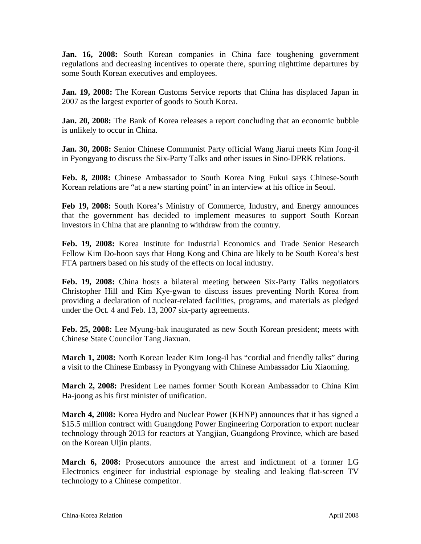**Jan. 16, 2008:** South Korean companies in China face toughening government regulations and decreasing incentives to operate there, spurring nighttime departures by some South Korean executives and employees.

**Jan. 19, 2008:** The Korean Customs Service reports that China has displaced Japan in 2007 as the largest exporter of goods to South Korea.

**Jan. 20, 2008:** The Bank of Korea releases a report concluding that an economic bubble is unlikely to occur in China.

**Jan. 30, 2008:** Senior Chinese Communist Party official Wang Jiarui meets Kim Jong-il in Pyongyang to discuss the Six-Party Talks and other issues in Sino-DPRK relations.

**Feb. 8, 2008:** Chinese Ambassador to South Korea Ning Fukui says Chinese-South Korean relations are "at a new starting point" in an interview at his office in Seoul.

**Feb 19, 2008:** South Korea's Ministry of Commerce, Industry, and Energy announces that the government has decided to implement measures to support South Korean investors in China that are planning to withdraw from the country.

**Feb. 19, 2008:** Korea Institute for Industrial Economics and Trade Senior Research Fellow Kim Do-hoon says that Hong Kong and China are likely to be South Korea's best FTA partners based on his study of the effects on local industry.

**Feb. 19, 2008:** China hosts a bilateral meeting between Six-Party Talks negotiators Christopher Hill and Kim Kye-gwan to discuss issues preventing North Korea from providing a declaration of nuclear-related facilities, programs, and materials as pledged under the Oct. 4 and Feb. 13, 2007 six-party agreements.

**Feb. 25, 2008:** Lee Myung-bak inaugurated as new South Korean president; meets with Chinese State Councilor Tang Jiaxuan.

**March 1, 2008:** North Korean leader Kim Jong-il has "cordial and friendly talks" during a visit to the Chinese Embassy in Pyongyang with Chinese Ambassador Liu Xiaoming.

**March 2, 2008:** President Lee names former South Korean Ambassador to China Kim Ha-joong as his first minister of unification.

**March 4, 2008:** Korea Hydro and Nuclear Power (KHNP) announces that it has signed a \$15.5 million contract with Guangdong Power Engineering Corporation to export nuclear technology through 2013 for reactors at Yangjian, Guangdong Province, which are based on the Korean Uljin plants.

**March 6, 2008:** Prosecutors announce the arrest and indictment of a former LG Electronics engineer for industrial espionage by stealing and leaking flat-screen TV technology to a Chinese competitor.